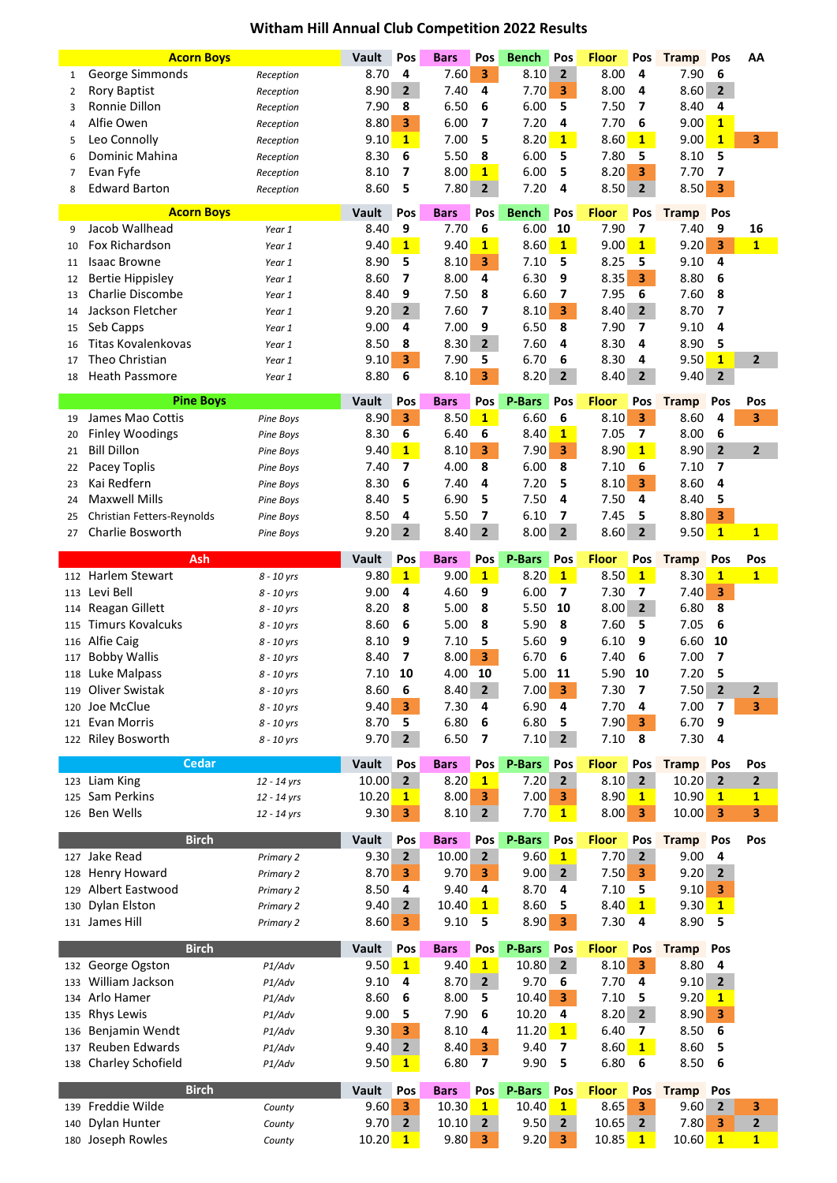## **Witham Hill Annual Club Competition 2022 Results**

|     | <b>Acorn Boys</b>                 |                  | Vault | Pos            | <b>Bars</b> | Pos                     | <b>Bench</b>  | Pos                     | <b>Floor</b> | Pos                     | <b>Tramp</b>     | Pos            | AA             |
|-----|-----------------------------------|------------------|-------|----------------|-------------|-------------------------|---------------|-------------------------|--------------|-------------------------|------------------|----------------|----------------|
| 1   | George Simmonds                   | Reception        | 8.70  | 4              | 7.60        | 3                       | 8.10          | $\overline{2}$          | 8.00         | 4                       | 7.90             | 6              |                |
| 2   | <b>Rory Baptist</b>               | Reception        | 8.90  | $\overline{2}$ | 7.40        | 4                       | 7.70          | 3                       | 8.00         | 4                       | 8.60             | $\overline{2}$ |                |
| 3   | Ronnie Dillon                     | Reception        | 7.90  | 8              | 6.50        | 6                       | 6.00          | 5                       | 7.50         | 7                       | 8.40             | 4              |                |
| 4   | Alfie Owen                        | Reception        | 8.80  | 3              | 6.00        | 7                       | 7.20          | 4                       | 7.70         | 6                       | 9.00             | $\mathbf{1}$   |                |
| 5   | Leo Connolly                      | Reception        | 9.10  | $\mathbf{1}$   | 7.00        | 5                       | 8.20          | $\mathbf{1}$            | 8.60         | $\mathbf{1}$            | 9.00             | $\mathbf{1}$   | 3              |
| 6   | Dominic Mahina                    | Reception        | 8.30  | 6              | 5.50        | 8                       | 6.00          | 5                       | 7.80         | 5                       | 8.10             | 5              |                |
|     |                                   |                  |       | 7              | 8.00        | $\mathbf{1}$            | 6.00          | 5                       | 8.20         | 3                       | 7.70             |                |                |
| 7   | Evan Fyfe                         | Reception        | 8.10  |                |             |                         |               |                         |              |                         |                  | 7              |                |
| 8   | <b>Edward Barton</b>              | Reception        | 8.60  | 5              | 7.80        | $\overline{2}$          | 7.20          | 4                       | 8.50         | $\mathbf{2}$            | 8.50             | 3              |                |
|     | <b>Acorn Boys</b>                 |                  | Vault | Pos            | <b>Bars</b> | Pos                     | <b>Bench</b>  | Pos                     | <b>Floor</b> | Pos                     | <b>Tramp</b>     | Pos            |                |
| 9   | Jacob Wallhead                    | Year 1           | 8.40  | 9              | 7.70        | 6                       | 6.00          | 10                      | 7.90         | $\overline{\mathbf{z}}$ | 7.40             | 9              | 16             |
| 10  | Fox Richardson                    | Year 1           | 9.40  | $\mathbf{1}$   | 9.40        | $\mathbf{1}$            | 8.60          | $\mathbf{1}$            | 9.00         | $\mathbf{1}$            | 9.20             | 3              | $\mathbf{1}$   |
| 11  | <b>Isaac Browne</b>               | Year 1           | 8.90  | 5              | 8.10        | 3                       | 7.10          | 5                       | 8.25         | 5                       | 9.10             | 4              |                |
|     |                                   |                  | 8.60  | 7              | 8.00        | 4                       | 6.30          | 9                       | 8.35         | 3                       | 8.80             | 6              |                |
| 12  | <b>Bertie Hippisley</b>           | Year 1           |       |                |             |                         |               |                         |              |                         |                  |                |                |
| 13  | Charlie Discombe                  | Year 1           | 8.40  | 9              | 7.50        | 8                       | 6.60          | 7                       | 7.95         | 6                       | 7.60             | 8              |                |
| 14  | Jackson Fletcher                  | Year 1           | 9.20  | $\overline{2}$ | 7.60        | 7                       | 8.10          | 3                       | 8.40         | $2^{\circ}$             | 8.70             | 7              |                |
| 15  | Seb Capps                         | Year 1           | 9.00  | 4              | 7.00        | 9                       | 6.50          | 8                       | 7.90         | 7                       | 9.10             | 4              |                |
| 16  | <b>Titas Kovalenkovas</b>         | Year 1           | 8.50  | 8              | 8.30        | $\overline{2}$          | 7.60          | 4                       | 8.30         | 4                       | 8.90             | 5              |                |
| 17  | Theo Christian                    | Year 1           | 9.10  | 3              | 7.90        | 5                       | 6.70          | 6                       | 8.30         | 4                       | 9.50             | $\mathbf{1}$   | $\overline{2}$ |
| 18  | <b>Heath Passmore</b>             | Year 1           | 8.80  | 6              | 8.10        | 3                       | 8.20          | 2                       | 8.40         | 2                       | 9.40             | $\mathbf{2}$   |                |
|     |                                   |                  |       |                |             |                         |               |                         |              |                         |                  |                |                |
|     | <b>Pine Boys</b>                  |                  | Vault | Pos            | <b>Bars</b> | Pos                     | P-Bars        | Pos                     | <b>Floor</b> | Pos                     | <b>Tramp</b>     | Pos            | Pos            |
| 19  | James Mao Cottis                  | <b>Pine Boys</b> | 8.90  | 3              | 8.50        | $\mathbf{1}$            | 6.60          | 6                       | 8.10         | 3                       | 8.60             | 4              | 3              |
| 20  | <b>Finley Woodings</b>            | <b>Pine Boys</b> | 8.30  | 6              | 6.40        | 6                       | 8.40          | $\mathbf{1}$            | 7.05         | 7                       | 8.00             | 6              |                |
| 21  | <b>Bill Dillon</b>                | <b>Pine Boys</b> | 9.40  | $\mathbf{1}$   | 8.10        | 3                       | 7.90          | 3                       | 8.90         | 1                       | 8.90             | $\overline{2}$ | $\overline{2}$ |
| 22  | Pacey Toplis                      | Pine Boys        | 7.40  | 7              | 4.00        | 8                       | 6.00          | 8                       | 7.10         | 6                       | 7.10             | 7              |                |
| 23  | Kai Redfern                       | Pine Boys        | 8.30  | 6              | 7.40        | 4                       | 7.20          | 5                       | 8.10         | 3                       | 8.60             | 4              |                |
| 24  | <b>Maxwell Mills</b>              | Pine Boys        | 8.40  | 5              | 6.90        | 5                       | 7.50          | 4                       | 7.50         | 4                       | 8.40             | 5              |                |
| 25  | Christian Fetters-Reynolds        | Pine Boys        | 8.50  | 4              | 5.50        | 7                       | 6.10          | $\overline{\mathbf{z}}$ | 7.45         | 5                       | 8.80             | 3              |                |
| 27  | Charlie Bosworth                  | Pine Boys        | 9.20  | $\overline{2}$ | 8.40        | $\overline{2}$          | 8.00          | $\overline{2}$          | 8.60         | $\overline{2}$          | 9.50             | $\mathbf{1}$   | $\mathbf{1}$   |
|     |                                   |                  |       |                |             |                         |               |                         |              |                         |                  |                |                |
|     | Ash                               |                  | Vault | Pos            | <b>Bars</b> | Pos                     | P-Bars        | Pos                     | <b>Floor</b> | Pos                     | <b>Tramp</b>     | Pos            | Pos            |
|     | 112 Harlem Stewart                | 8 - 10 yrs       | 9.80  | $\mathbf{1}$   | 9.00        | $\mathbf{1}$            | 8.20          | $\mathbf{1}$            | 8.50         | $\mathbf{1}$            | 8.30             | $\mathbf{1}$   | $\mathbf{1}$   |
|     | 113 Levi Bell                     | 8 - 10 yrs       | 9.00  | 4              | 4.60        | 9                       | 6.00          | $\overline{\mathbf{z}}$ | 7.30         | 7                       | 7.40             | 3              |                |
| 114 | Reagan Gillett                    | 8 - 10 yrs       | 8.20  | 8              | 5.00        | 8                       | 5.50          | 10                      | 8.00         | $\overline{2}$          | 6.80             | 8              |                |
| 115 | <b>Timurs Kovalcuks</b>           | 8 - 10 yrs       | 8.60  | 6              | 5.00        | 8                       | 5.90          | 8                       | 7.60         | 5                       | 7.05             | 6              |                |
| 116 | Alfie Caig                        |                  | 8.10  | 9              | 7.10        | 5                       | 5.60          | 9                       | 6.10         | 9                       | 6.60             | 10             |                |
|     |                                   | 8 - 10 yrs       |       |                |             |                         |               |                         |              |                         |                  |                |                |
| 117 | <b>Bobby Wallis</b>               | 8 - 10 yrs       | 8.40  | 7              | 8.00        | 3                       | 6.70          | 6                       | 7.40         | 6                       | 7.00             | 7              |                |
|     | 118 Luke Malpass                  | 8 - 10 yrs       | 7.10  | 10             | 4.00        | 10                      | 5.00          | 11                      | 5.90         | 10                      | 7.20             | 5              |                |
| 119 | Oliver Swistak                    | 8 - 10 yrs       | 8.60  | 6              | 8.40        | $\overline{2}$          | 7.00          | 3                       | 7.30         | 7                       | $7.50$ 2         |                | 2              |
| 120 | Joe McClue                        | 8 - 10 yrs       | 9.40  | 3              | 7.30        | 4                       | 6.90          | 4                       | 7.70         | 4                       | 7.00             | 7              | 3              |
| 121 | <b>Evan Morris</b>                | 8 - 10 yrs       | 8.70  | 5              | 6.80        | 6                       | 6.80          | 5                       | 7.90         | 3                       | 6.70             | 9              |                |
|     | 122 Riley Bosworth                | 8 - 10 yrs       | 9.70  | $\overline{2}$ | 6.50        | 7                       | 7.10          | $\mathbf{2}$            | 7.10         | 8                       | 7.30             | 4              |                |
|     | <b>Cedar</b>                      |                  | Vault | Pos            |             | Pos                     | P-Bars        | Pos                     | <b>Floor</b> | Pos                     |                  |                |                |
|     |                                   |                  |       |                | <b>Bars</b> |                         |               |                         |              |                         | <b>Tramp</b>     | Pos            | Pos            |
|     | 123 Liam King                     | 12 - 14 yrs      | 10.00 | $\overline{2}$ | 8.20        | $\mathbf{1}$            | 7.20          | $\overline{2}$          | 8.10         | $\overline{2}$          | 10.20            | $\overline{2}$ | $\mathbf{2}$   |
| 125 | Sam Perkins                       | 12 - 14 yrs      | 10.20 | $\mathbf{1}$   | 8.00        | 3                       | 7.00          | 3                       | 8.90         | $\mathbf{1}$            | 10.90            | $\mathbf{1}$   | $\mathbf{1}$   |
| 126 | Ben Wells                         | 12 - 14 yrs      | 9.30  | 3              | 8.10        | $\mathbf{2}$            | 7.70          | $\mathbf{1}$            | 8.00         | 3                       | 10.00            | 3              | 3              |
|     | <b>Birch</b>                      |                  | Vault | Pos            | <b>Bars</b> | Pos                     | <b>P-Bars</b> | Pos                     | <b>Floor</b> | Pos                     | <b>Tramp</b>     | Pos            | Pos            |
|     | Jake Read                         |                  |       |                |             |                         | 9.60          |                         | 7.70         |                         | 9.00             |                |                |
| 127 |                                   | Primary 2        | 9.30  | $\overline{2}$ | 10.00       | $\overline{2}$          |               | $\mathbf{1}$            |              | $\mathbf{2}$            |                  | 4              |                |
| 128 | Henry Howard                      | Primary 2        | 8.70  | 3              | 9.70        | 3                       | 9.00          | $\overline{2}$          | 7.50         | 3                       | 9.20             | $\overline{2}$ |                |
| 129 | Albert Eastwood                   | Primary 2        | 8.50  | 4              | 9.40        | 4                       | 8.70          | 4                       | 7.10         | 5                       | 9.10             | 3              |                |
| 130 | Dylan Elston                      | Primary 2        | 9.40  | $\overline{2}$ | 10.40       | $\mathbf{1}$            | 8.60          | 5                       | 8.40         | $\mathbf{1}$            | 9.30             | $\mathbf{1}$   |                |
| 131 | James Hill                        | Primary 2        | 8.60  | 3              | 9.10        | 5                       | 8.90          | 3                       | 7.30         | 4                       | 8.90             | 5              |                |
|     |                                   |                  |       |                |             |                         |               |                         |              |                         |                  |                |                |
|     | <b>Birch</b>                      |                  | Vault | Pos            | <b>Bars</b> | Pos                     | P-Bars        | Pos                     | <b>Floor</b> | Pos                     | <b>Tramp</b> Pos |                |                |
|     | 132 George Ogston                 | P1/Adv           | 9.50  | $\mathbf{1}$   | 9.40        | $\mathbf{1}$            | 10.80         | $\overline{2}$          | 8.10         | 3                       | 8.80             | 4              |                |
| 133 | William Jackson                   | P1/Adv           | 9.10  | 4              | 8.70        | $\overline{2}$          | 9.70          | 6                       | 7.70         | 4                       | $9.10 \, 2$      |                |                |
| 134 | Arlo Hamer                        | P1/Adv           | 8.60  | 6              | 8.00        | 5                       | 10.40         | 3                       | 7.10         | 5                       | 9.20             | $\mathbf{1}$   |                |
| 135 | <b>Rhys Lewis</b>                 | P1/Adv           | 9.00  | 5              | 7.90        | 6                       | 10.20         | 4                       | 8.20         | $2^{\circ}$             | 8.90             | 3              |                |
| 136 | Benjamin Wendt                    | P1/Adv           | 9.30  | 3              | 8.10        | 4                       | 11.20         | $\mathbf{1}$            | 6.40         | 7                       | 8.50             | 6              |                |
| 137 | Reuben Edwards                    | P1/Adv           | 9.40  | $\overline{2}$ | 8.40        | 3                       | 9.40          | $\overline{ }$          | 8.60         | $\mathbf{1}$            | 8.60             | 5              |                |
| 138 | Charley Schofield                 | P1/Adv           | 9.50  | $\mathbf{1}$   | 6.80        | $\overline{\mathbf{z}}$ | 9.90          | 5                       | 6.80         | 6                       | 8.50             | 6              |                |
|     |                                   |                  |       |                |             |                         |               |                         |              |                         |                  |                |                |
|     | <b>Birch</b>                      |                  | Vault | Pos            | <b>Bars</b> | Pos                     | P-Bars        | Pos                     | <b>Floor</b> | Pos                     | <b>Tramp</b>     | Pos            |                |
| 139 |                                   |                  |       |                |             |                         |               |                         |              |                         |                  |                |                |
|     | Freddie Wilde                     | County           | 9.60  | 3              | 10.30       | $\mathbf{1}$            | 10.40         | $\mathbf{1}$            | 8.65         | 3                       | $9.60$ 2         |                | 3              |
| 140 | Dylan Hunter<br>180 Joseph Rowles | County           | 9.70  | $\overline{2}$ | 10.10       | $\overline{2}$          | 9.50          | $\overline{2}$          | 10.65        | $\mathbf{2}$            | 7.80             | 3              | $\mathbf{2}$   |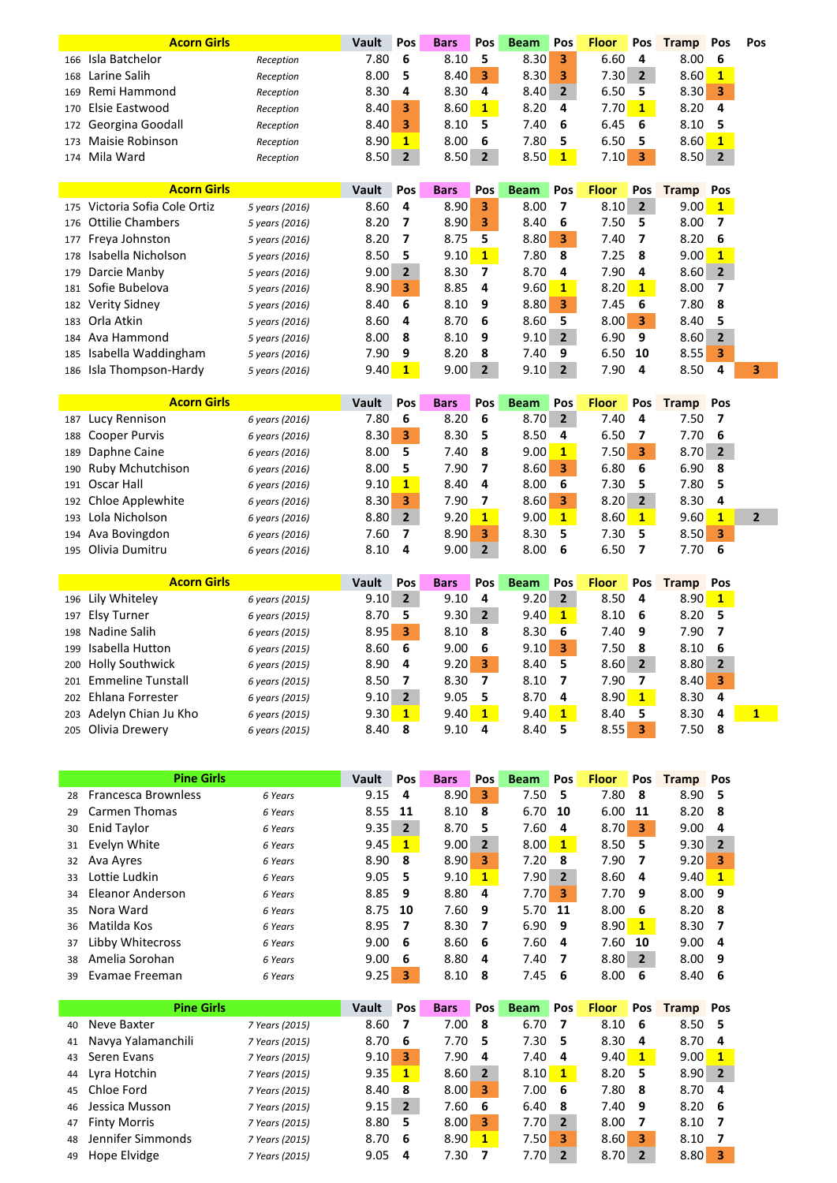|     | <b>Acorn Girls</b>                  |                | Vault         | Pos                     | <b>Bars</b>         | Pos            | <b>Beam</b>         | Pos            | <b>Floor</b> | Pos                      | <b>Tramp</b>         | Pos                      | Pos            |
|-----|-------------------------------------|----------------|---------------|-------------------------|---------------------|----------------|---------------------|----------------|--------------|--------------------------|----------------------|--------------------------|----------------|
| 166 | Isla Batchelor                      | Reception      | 7.80          | 6                       | 8.10                | 5              | 8.30                | 3              | 6.60         | 4                        | 8.00                 | 6                        |                |
| 168 | Larine Salih                        | Reception      | 8.00          | 5                       | 8.40                | 3              | 8.30                | 3              | 7.30         | $\overline{2}$           | 8.60                 | $\mathbf{1}$             |                |
| 169 | Remi Hammond                        | Reception      | 8.30          | 4                       | 8.30                | 4              | 8.40                | $\overline{2}$ | 6.50         | 5                        | 8.30                 | 3                        |                |
| 170 | Elsie Eastwood                      | Reception      | 8.40          | 3                       | 8.60                | $\mathbf{1}$   | 8.20                | 4              | 7.70         | $\mathbf{1}$             | 8.20                 | 4                        |                |
| 172 | Georgina Goodall                    | Reception      | 8.40          | 3                       | 8.10                | 5              | 7.40                | 6              | 6.45         | 6                        | 8.10                 | 5                        |                |
| 173 | Maisie Robinson                     | Reception      | 8.90          | $\mathbf{1}$            | 8.00                | 6              | 7.80                | 5              | 6.50         | 5                        | 8.60                 | $\mathbf{1}$             |                |
| 174 | Mila Ward                           | Reception      | 8.50          | $\overline{2}$          | 8.50                | $\mathbf{2}$   | 8.50                | $\mathbf{1}$   | 7.10         | 3                        | 8.50                 | $\overline{2}$           |                |
|     | <b>Acorn Girls</b>                  |                |               |                         |                     | Pos            |                     | Pos            | <b>Floor</b> |                          |                      |                          |                |
| 175 | Victoria Sofia Cole Ortiz           | 5 years (2016) | Vault<br>8.60 | Pos<br>4                | <b>Bars</b><br>8.90 | 3              | <b>Beam</b><br>8.00 | 7              | 8.10         | Pos<br>$\overline{2}$    | <b>Tramp</b><br>9.00 | Pos<br>$\mathbf{1}$      |                |
| 176 | <b>Ottilie Chambers</b>             | 5 years (2016) | 8.20          | 7                       | 8.90                | 3              | 8.40                | 6              | 7.50         | 5                        | 8.00                 | $\overline{\phantom{a}}$ |                |
| 177 | Freya Johnston                      | 5 years (2016) | 8.20          | $\overline{\mathbf{z}}$ | 8.75                | 5              | 8.80                | 3              | 7.40         | $\overline{\phantom{a}}$ | 8.20                 | 6                        |                |
| 178 | Isabella Nicholson                  | 5 years (2016) | 8.50          | 5                       | 9.10                | $\mathbf{1}$   | 7.80                | 8              | 7.25         | 8                        | 9.00                 | $\overline{1}$           |                |
| 179 | Darcie Manby                        | 5 years (2016) | 9.00          | $\overline{2}$          | 8.30                | 7              | 8.70                | 4              | 7.90         | 4                        | 8.60                 | $\overline{2}$           |                |
| 181 | Sofie Bubelova                      | 5 years (2016) | 8.90          | 3                       | 8.85                | 4              | 9.60                | $\mathbf{1}$   | 8.20         | $\mathbf{1}$             | 8.00                 | 7                        |                |
| 182 | <b>Verity Sidney</b>                | 5 years (2016) | 8.40          | 6                       | 8.10                | 9              | 8.80                | 3              | 7.45         | 6                        | 7.80                 | 8                        |                |
| 183 | Orla Atkin                          | 5 years (2016) | 8.60          | 4                       | 8.70                | 6              | 8.60                | 5              | 8.00         | 3                        | 8.40                 | 5                        |                |
| 184 | Ava Hammond                         | 5 years (2016) | 8.00          | 8                       | 8.10                | 9              | 9.10                | $\overline{2}$ | 6.90         | 9                        | 8.60                 | $\overline{2}$           |                |
| 185 | Isabella Waddingham                 | 5 years (2016) | 7.90          | 9                       | 8.20                | 8              | 7.40                | 9              | 6.50         | 10                       | 8.55                 | 3                        |                |
| 186 | Isla Thompson-Hardy                 | 5 years (2016) | 9.40          | $\mathbf{1}$            | 9.00                | $\overline{2}$ | 9.10                | $\overline{2}$ | 7.90         | 4                        | 8.50                 | 4                        | 3              |
|     |                                     |                |               |                         |                     |                |                     |                |              |                          |                      |                          |                |
|     |                                     |                |               |                         |                     |                |                     |                |              |                          |                      |                          |                |
|     | <b>Acorn Girls</b>                  |                | Vault         | Pos                     | <b>Bars</b>         | Pos            | <b>Beam</b>         | Pos            | <b>Floor</b> | Pos                      | <b>Tramp</b>         | Pos                      |                |
| 187 | Lucy Rennison                       | 6 years (2016) | 7.80          | 6                       | 8.20                | 6              | 8.70                | $\overline{2}$ | 7.40         | 4                        | 7.50                 | 7                        |                |
| 188 | Cooper Purvis                       | 6 years (2016) | 8.30          | 3                       | 8.30                | 5              | 8.50                | 4              | 6.50         | 7                        | 7.70                 | 6                        |                |
| 189 | Daphne Caine                        | 6 years (2016) | 8.00          | 5                       | 7.40                | 8              | 9.00                | $\mathbf{1}$   | 7.50         | 3                        | 8.70                 | $\overline{\mathbf{2}}$  |                |
| 190 | <b>Ruby Mchutchison</b>             | 6 years (2016) | 8.00          | 5                       | 7.90                | 7              | 8.60                | 3              | 6.80         | 6                        | 6.90                 | 8                        |                |
| 191 | Oscar Hall                          | 6 years (2016) | 9.10          | $\mathbf{1}$            | 8.40                | 4              | 8.00                | 6              | 7.30         | 5                        | 7.80                 | 5                        |                |
| 192 | Chloe Applewhite                    | 6 years (2016) | 8.30          | 3                       | 7.90                | 7              | 8.60                | 3              | 8.20         | $\overline{2}$           | 8.30                 | 4                        |                |
| 193 | Lola Nicholson                      | 6 years (2016) | 8.80          | $\overline{2}$          | 9.20                | $\mathbf{1}$   | 9.00                | $\mathbf{1}$   | 8.60         | $\mathbf{1}$             | 9.60                 | $\mathbf{1}$             | $\overline{2}$ |
| 194 | Ava Bovingdon                       | 6 years (2016) | 7.60          | 7                       | 8.90                | 3              | 8.30                | 5              | 7.30         | 5                        | 8.50                 | 3                        |                |
| 195 | Olivia Dumitru                      | 6 years (2016) | 8.10          | 4                       | 9.00                | $\overline{2}$ | 8.00                | 6              | 6.50         | $\overline{\mathbf{z}}$  | 7.70                 | 6                        |                |
|     | <b>Acorn Girls</b>                  |                | Vault         | Pos                     | <b>Bars</b>         |                | <b>Beam</b>         | Pos            | <b>Floor</b> |                          |                      | Pos                      |                |
| 196 |                                     | 6 years (2015) | 9.10          | $\overline{2}$          | 9.10                | Pos<br>4       | 9.20                | $\overline{2}$ | 8.50         | Pos<br>4                 | <b>Tramp</b><br>8.90 | $\mathbf{1}$             |                |
| 197 | Lily Whiteley<br><b>Elsy Turner</b> | 6 years (2015) | 8.70          | 5                       | 9.30                | $\overline{2}$ | 9.40                | $\mathbf{1}$   | 8.10         | 6                        | 8.20                 | 5                        |                |
| 198 | Nadine Salih                        | 6 years (2015) | 8.95          | $\overline{\mathbf{3}}$ | 8.10                | 8              | 8.30                | 6              | 7.40         | 9                        | 7.90                 | 7                        |                |
| 199 | Isabella Hutton                     | 6 years (2015) | 8.60          | 6                       | 9.00                | 6              | 9.10                | 3              | 7.50         | 8                        | 8.10                 | 6                        |                |
| 200 | <b>Holly Southwick</b>              | 6 years (2015) | 8.90          | 4                       | 9.20                | 3              | 8.40                | 5              | 8.60         | $\overline{2}$           | 8.80                 | $\overline{2}$           |                |
| 201 | <b>Emmeline Tunstall</b>            | 6 years (2015) | 8.50          | $\overline{\mathbf{z}}$ | 8.30                | 7              | 8.10                | 7              | 7.90         | 7                        | 8.40                 | 3                        |                |
| 202 | Ehlana Forrester                    | 6 years (2015) | 9.10          | $\overline{2}$          | 9.05                | 5              | 8.70                | 4              | 8.90         | $\mathbf{1}$             | 8.30                 | 4                        |                |
| 203 | Adelyn Chian Ju Kho                 | 6 years (2015) | 9.30          | $\mathbf{1}$            | 9.40                | $\mathbf{1}$   | 9.40                | $\mathbf{1}$   | 8.40<br>8.55 | 5                        | 8.30                 | 4                        | $\mathbf{1}$   |

|    | <b>Pine Girls</b>          |                | Vault | Pos            | <b>Bars</b> | Pos            | <b>Beam</b> | Pos            | <b>Floor</b> | Pos            | <b>Tramp</b> | Pos            |
|----|----------------------------|----------------|-------|----------------|-------------|----------------|-------------|----------------|--------------|----------------|--------------|----------------|
| 28 | <b>Francesca Brownless</b> | 6 Years        | 9.15  | 4              | 8.90        | 3              | 7.50        | 5              | 7.80         | 8              | 8.90         | 5              |
| 29 | <b>Carmen Thomas</b>       | 6 Years        | 8.55  | 11             | 8.10        | 8              | 6.70        | 10             | 6.00         | 11             | 8.20         | 8              |
| 30 | Enid Taylor                | 6 Years        | 9.35  | $\overline{2}$ | 8.70        | 5              | 7.60        | 4              | 8.70         | 3              | 9.00         | 4              |
| 31 | Evelyn White               | 6 Years        | 9.45  | $\mathbf{1}$   | 9.00        | $\overline{2}$ | 8.00        | $\mathbf{1}$   | 8.50         | 5              | 9.30         | $\overline{2}$ |
| 32 | Ava Ayres                  | 6 Years        | 8.90  | 8              | 8.90        | 3              | 7.20        | 8              | 7.90         | 7              | 9.20         | 3              |
| 33 | Lottie Ludkin              | 6 Years        | 9.05  | 5              | 9.10        | $\mathbf{1}$   | 7.90        | $\overline{2}$ | 8.60         | 4              | 9.40         | 1              |
| 34 | Eleanor Anderson           | 6 Years        | 8.85  | 9              | 8.80        | 4              | 7.70        | з              | 7.70         | 9              | 8.00         | 9              |
| 35 | Nora Ward                  | 6 Years        | 8.75  | 10             | 7.60        | 9              | 5.70        | 11             | 8.00         | 6              | 8.20         | 8              |
| 36 | Matilda Kos                | 6 Years        | 8.95  | 7              | 8.30        | 7              | 6.90        | 9              | 8.90         | 1              | 8.30         | 7              |
| 37 | Libby Whitecross           | 6 Years        | 9.00  | 6              | 8.60        | 6              | 7.60        | 4              | 7.60         | 10             | 9.00         | 4              |
| 38 | Amelia Sorohan             | 6 Years        | 9.00  | 6              | 8.80        | 4              | 7.40        | 7              | 8.80         | $\overline{2}$ | 8.00         | 9              |
| 39 | Evamae Freeman             | 6 Years        | 9.25  | 3              | 8.10        | 8              | 7.45        | 6              | 8.00         | 6              | 8.40         | 6              |
|    |                            |                |       |                |             |                |             |                |              |                |              |                |
|    | <b>Pine Girls</b>          |                | Vault | Pos            | <b>Bars</b> | Pos            | <b>Beam</b> | Pos            | <b>Floor</b> | Pos            | <b>Tramp</b> | Pos            |
| 40 | Neve Baxter                | 7 Years (2015) | 8.60  | 7              | 7.00        | 8              | 6.70        | 7              | 8.10         | 6              | 8.50         | 5              |
| 41 | Navya Yalamanchili         | 7 Years (2015) | 8.70  | 6              | 7.70        | 5              | 7.30        | 5              | 8.30         | 4              | 8.70         | 4              |
| 43 | Seren Evans                | 7 Years (2015) | 9.10  | 3              | 7.90        | 4              | 7.40        | 4              | 9.40         | $\mathbf{1}$   | 9.00         | $\mathbf{1}$   |
| 44 | Lyra Hotchin               | 7 Years (2015) | 9.35  | $\mathbf{1}$   | 8.60        | $\overline{2}$ | 8.10        | $\mathbf{1}$   | 8.20         | 5              | 8.90         | $\overline{2}$ |
| 45 | Chloe Ford                 | 7 Years (2015) | 8.40  | 8              | 8.00        | 3              | 7.00        | 6              | 7.80         | 8              | 8.70         | 4              |
| 46 | Jessica Musson             | 7 Years (2015) | 9.15  | $\overline{2}$ | 7.60        | 6              | 6.40        | 8              | 7.40         | 9              | 8.20         | 6              |
| 47 | <b>Finty Morris</b>        | 7 Years (2015) | 8.80  | 5              | 8.00        | 3              | 7.70        | $\overline{2}$ | 8.00         | 7              | 8.10         | 7              |
| 48 | Jennifer Simmonds          | 7 Years (2015) | 8.70  | 6              | 8.90        | $\mathbf{1}$   | 7.50        | 3              | 8.60         | 3              | 8.10         | 7              |
| 49 | Hope Elvidge               | 7 Years (2015) | 9.05  | 4              | 7.30        | 7              | 7.70        | $\overline{2}$ | 8.70         | $\overline{2}$ | 8.80         | 3              |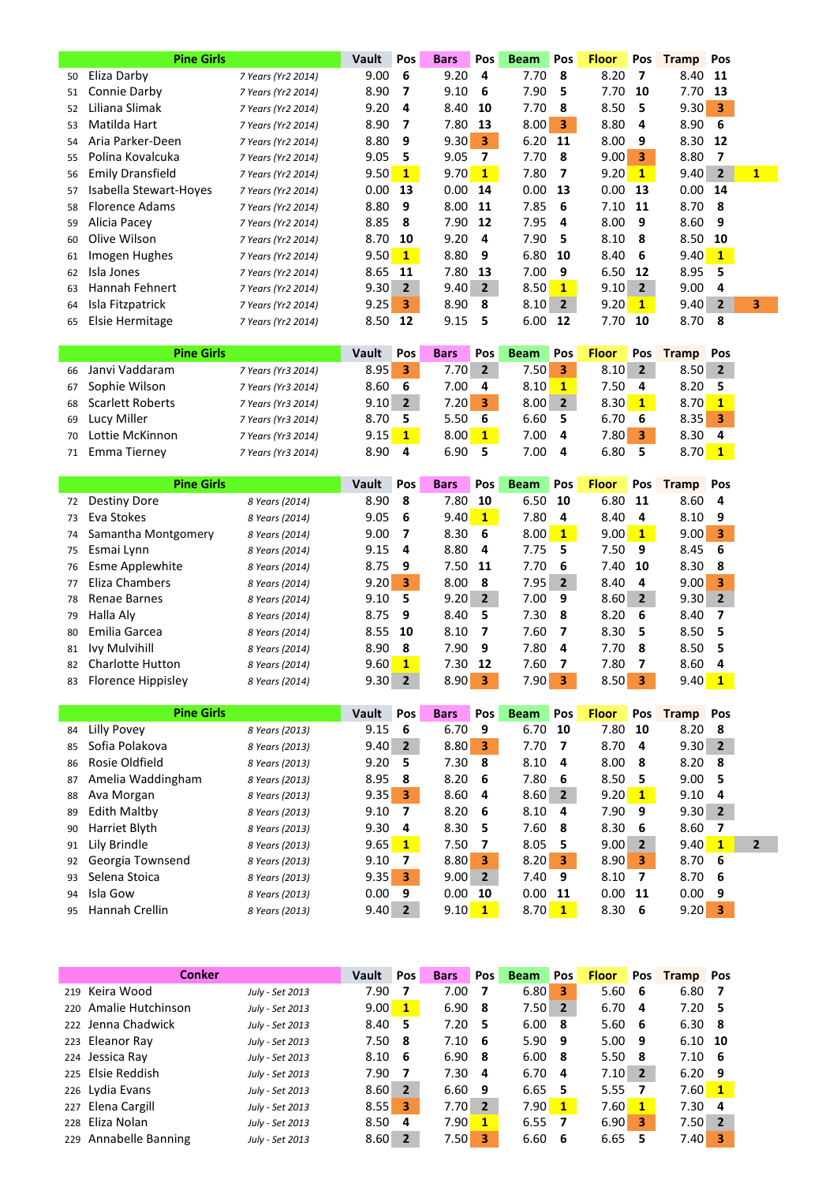|    | <b>Pine Girls</b>       |                    | Vault | Pos            | <b>Bars</b> | <b>Pos</b>     | <b>Beam</b> | Pos            | <b>Floor</b> | <b>Pos</b>     | <b>Tramp</b> Pos |                         |              |
|----|-------------------------|--------------------|-------|----------------|-------------|----------------|-------------|----------------|--------------|----------------|------------------|-------------------------|--------------|
| 50 | Eliza Darby             | 7 Years (Yr2 2014) | 9.00  | 6              | 9.20        | 4              | 7.70        | 8              | 8.20         | 7              | 8.40             | 11                      |              |
| 51 | Connie Darby            | 7 Years (Yr2 2014) | 8.90  | 7              | 9.10        | 6              | 7.90        | 5              | 7.70         | 10             | 7.70             | -13                     |              |
| 52 | Liliana Slimak          | 7 Years (Yr2 2014) | 9.20  | 4              | 8.40        | 10             | 7.70        | 8              | 8.50         | 5              | 9.30             | $\overline{\mathbf{3}}$ |              |
| 53 | Matilda Hart            | 7 Years (Yr2 2014) | 8.90  | - 7            | 7.80        | - 13           | 8.00        | 3              | 8.80         | 4              | 8.90             | -6                      |              |
| 54 | Aria Parker-Deen        | 7 Years (Yr2 2014) | 8.80  | 9              | 9.30        | 3              | 6.20        | 11             | 8.00         | 9              | 8.30 12          |                         |              |
| 55 | Polina Kovalcuka        | 7 Years (Yr2 2014) | 9.05  | 5              | 9.05        | 7              | 7.70        | -8             | 9.00         | 3              | 8.80             | -7                      |              |
| 56 | <b>Emily Dransfield</b> | 7 Years (Yr2 2014) | 9.50  | $\mathbf{1}$   | 9.70        | $\mathbf{1}$   | 7.80        | 7              | 9.20         | $\mathbf{1}$   | 9.40             | $\overline{2}$          | $\mathbf{1}$ |
| 57 | Isabella Stewart-Hoyes  | 7 Years (Yr2 2014) | 0.00  | 13             | 0.00        | 14             | 0.00        | 13             | 0.00         | 13             | 0.00             | 14                      |              |
| 58 | <b>Florence Adams</b>   | 7 Years (Yr2 2014) | 8.80  | 9              | 8.00 11     |                | 7.85        | 6              | 7.10         | - 11           | 8.70             | - 8                     |              |
| 59 | Alicia Pacey            | 7 Years (Yr2 2014) | 8.85  | -8             | 7.90        | 12             | 7.95        | 4              | 8.00         | 9              | 8.60             | -9                      |              |
| 60 | Olive Wilson            | 7 Years (Yr2 2014) | 8.70  | 10             | 9.20        | 4              | 7.90        | 5              | 8.10         | 8              | 8.50             | -10                     |              |
| 61 | Imogen Hughes           | 7 Years (Yr2 2014) | 9.50  | $\mathbf{1}$   | 8.80        | 9              | 6.80        | 10             | 8.40         | 6              | 9.40             | $\mathbf{1}$            |              |
| 62 | Isla Jones              | 7 Years (Yr2 2014) | 8.65  | 11             | 7.80        | - 13           | 7.00        | 9              | 6.50         | 12             | 8.95             | -5                      |              |
| 63 | Hannah Fehnert          | 7 Years (Yr2 2014) | 9.30  | $\overline{2}$ | 9.40        | $\overline{2}$ | 8.50        | $\mathbf{1}$   | 9.10         | $\overline{2}$ | 9.00             | 4                       |              |
| 64 | Isla Fitzpatrick        | 7 Years (Yr2 2014) | 9.25  | 3              | 8.90        | 8              | 8.10        | $\overline{2}$ | 9.20         | $\mathbf{1}$   | 9.40             | $\overline{2}$          | 3            |
| 65 | Elsie Hermitage         | 7 Years (Yr2 2014) | 8.50  | 12             | 9.15        | 5              | 6.00        | 12             | 7.70         | 10             | 8.70             | -8                      |              |

|    | <b>Pine Girls</b>   |                    | Vault          | Pos          | <b>Bars</b>       | Pos | <b>Beam</b> | Pos            | <b>Floor</b> | Pos            | <b>Tramp</b>   | Pos |
|----|---------------------|--------------------|----------------|--------------|-------------------|-----|-------------|----------------|--------------|----------------|----------------|-----|
|    | 66 Janvi Vaddaram   | 7 Years (Yr3 2014) | 8.95           | 3            | 7.70              |     | 7.50        | з              | 8.10         | $\overline{2}$ | $8.50 \quad 2$ |     |
|    | 67 Sophie Wilson    | 7 Years (Yr3 2014) | 8.60           | - 6          | 7.00              | 4   | 8.10        |                | 7.50         | - 4            | 8.20, 5        |     |
|    | 68 Scarlett Roberts | 7 Years (Yr3 2014) | $9.10 \quad 2$ |              | 7.20              | 13  | 8.00        | $\overline{2}$ | 8.30         | $\mathbf{1}$   | $8.70$ 1       |     |
|    | 69 Lucy Miller      | 7 Years (Yr3 2014) | 8.70 5         |              | 5.50              | -6  | 6.60        |                | 6.70         | -6             | $8.35$ 3       |     |
| 70 | Lottie McKinnon     | 7 Years (Yr3 2014) | 9.15           | $\mathbf{1}$ | 8.00 <sub>l</sub> |     | 7.00        | 4              | 7.80         | 3              | 8.30           | - 4 |
|    | 71 Emma Tierney     | 7 Years (Yr3 2014) | 8.90           | -4           | 6.90              |     | 7.00        | д              | 6.80         |                | $8.70$ 1       |     |

|    | <b>Pine Girls</b>     |                | <b>Vault</b> | <b>Pos</b>     | <b>Bars</b>    | <b>Pos</b>   | <b>Beam</b> | <b>Pos</b>     | <b>Floor</b> | <b>Pos</b>   | <b>Tramp</b> Pos |                |
|----|-----------------------|----------------|--------------|----------------|----------------|--------------|-------------|----------------|--------------|--------------|------------------|----------------|
| 72 | Destiny Dore          | 8 Years (2014) | 8.90         | -8             | 7.80           | 10           | 6.50        | 10             | 6.80         | -11          | 8.60             | -4             |
| 73 | Eva Stokes            | 8 Years (2014) | 9.05         | -6             | 9.40           | $\mathbf{1}$ | 7.80        | 4              | 8.40         | 4            | 8.10             | -9             |
| 74 | Samantha Montgomery   | 8 Years (2014) | 9.00         | - 7            | 8.30           | -6           | 8.00        | 1              | 9.00         | $\mathbf{1}$ | 9.00             | 3              |
| 75 | Esmai Lynn            | 8 Years (2014) | 9.15         | -4             | 8.80           | 4            | 7.75        | 5              | 7.50         | 9            | 8.45             | - 6            |
| 76 | Esme Applewhite       | 8 Years (2014) | 8.75         | -9             | 7.50           | -11          | 7.70        | 6              | 7.40         | 10           | 8.30             | - 8            |
| 77 | Eliza Chambers        | 8 Years (2014) | 9.20         | -3             | 8.00           | -8           | 7.95        | $\overline{2}$ | 8.40         | -4           | 9.00             | 3              |
| 78 | Renae Barnes          | 8 Years (2014) | 9.10         | - 5            | $9.20 \quad 2$ |              | 7.00        | 9              | $8.60$ 2     |              | 9.30             | $\overline{2}$ |
| 79 | Halla Alv             | 8 Years (2014) | 8.75         | - 9            | 8.40           | -5           | 7.30        | -8             | 8.20         | -6           | 8.40             |                |
| 80 | Emilia Garcea         | 8 Years (2014) | 8.55         | 10             | 8.10           | -7           | 7.60        | 7              | 8.30         | 5            | 8.50             | - 5            |
| 81 | Ivy Mulvihill         | 8 Years (2014) | 8.90         | -8             | 7.90           | 9            | 7.80        | 4              | 7.70         | 8            | 8.50, 5          |                |
|    | 82 Charlotte Hutton   | 8 Years (2014) | 9.60         | $\mathbf{1}$   | 7.30           | 12           | 7.60        | 7              | 7.80         | 7            | 8.60             | -4             |
|    | 83 Florence Hippisley | 8 Years (2014) | 9.30         | $\overline{2}$ | 8.90           | 3            | 7.90        | 3              | 8.50         | 3            | 9.40             | 1              |

|    | <b>Pine Girls</b> |                | <b>Vault</b> | <b>Pos</b>     | <b>Bars</b> | <b>Pos</b>              | <b>Beam</b>    | <b>Pos</b>     | <b>Floor</b>      | <b>Pos</b>     | <b>Tramp</b> Pos |                |
|----|-------------------|----------------|--------------|----------------|-------------|-------------------------|----------------|----------------|-------------------|----------------|------------------|----------------|
| 84 | Lilly Povey       | 8 Years (2013) | 9.15         | 6              | 6.70        | 9                       | 6.70           | 10             | 7.80              | 10             | 8.20             | 8              |
| 85 | Sofia Polakova    | 8 Years (2013) | 9.40         | $\overline{2}$ | 8.80        | $\overline{\mathbf{3}}$ | 7.70           | - 7            | 8.70              | -4             | 9.30             | $\overline{2}$ |
| 86 | Rosie Oldfield    | 8 Years (2013) | 9.20         | 5              | 7.30        | -8                      | $8.10 \quad 4$ |                | 8.00              | -8             | 8.20             | -8             |
| 87 | Amelia Waddingham | 8 Years (2013) | 8.95         | 8              | 8.20        | - 6                     | 7.80           | - 6            | 8.50              | 5              | 9.00             | 5              |
| 88 | Ava Morgan        | 8 Years (2013) | 9.35         | 3              | 8.60        | -4                      | 8.60           | $\overline{2}$ | 9.20              | $\mathbf{1}$   | 9.10             | 4              |
| 89 | Edith Maltby      | 8 Years (2013) | 9.10         | 7              | 8.20        | - 6                     | 8.10           | -4             | $7.90$ 9          |                | 9.30             | $\overline{2}$ |
| 90 | Harriet Blyth     | 8 Years (2013) | 9.30         | 4              | 8.30        | - 5                     | 7.60           | - 8            | 8.30 <sub>6</sub> |                | 8.60             |                |
|    | 91 Lily Brindle   | 8 Years (2013) | 9.65         | $\mathbf{1}$   | 7.50        |                         | 8.05           | 5              | 9.00              | $\overline{2}$ | 9.40             | 1              |
| 92 | Georgia Townsend  | 8 Years (2013) | 9.10         | 7              | 8.80        | 3                       | 8.20           | 3              | 8.90              | 3              | 8.70             | -6             |
| 93 | Selena Stoica     | 8 Years (2013) | 9.35         | 3              | 9.00        | $\overline{2}$          | 7.40           | -9             | 8.10              | 7              | 8.70             | -6             |
|    | 94 Isla Gow       | 8 Years (2013) | 0.00         | 9              | 0.00        | 10                      | 0.00           | -11            | 0.00              | -11            | 0.00             | 9              |
|    | 95 Hannah Crellin | 8 Years (2013) | 9.40         | $\overline{2}$ | 9.10        | $\mathbf{1}$            | 8.70           | $\mathbf{1}$   | 8.30              | -6             | 9.20             | 3              |

| <b>Conker</b>         |                 | Vault    | Pos            | <b>Bars</b>       | <b>Pos</b>     | <b>Beam</b> | <b>Pos</b>              | <b>Floor</b> | <b>Pos</b>     | <b>Tramp</b> Pos |              |
|-----------------------|-----------------|----------|----------------|-------------------|----------------|-------------|-------------------------|--------------|----------------|------------------|--------------|
|                       |                 |          |                |                   |                |             |                         |              |                |                  |              |
| 219 Keira Wood        | July - Set 2013 | 7.90     |                | 7.00              |                | 6.80        | з                       | 5.60         | 6              | 6.80             | 7            |
| 220 Amalie Hutchinson | July - Set 2013 | 9.00     | $\mathbf{1}$   | 6.90              | - 8            | 7.50        | $\overline{2}$          | 6.70         | 4              | $7.20$ 5         |              |
| 222 Jenna Chadwick    | July - Set 2013 | 8.40 5   |                | $7.20$ 5          |                | 6.00        | - 8                     | 5.60         | - 6            | $6.30 \quad 8$   |              |
| 223 Eleanor Ray       | July - Set 2013 | $7.50$ 8 |                | $7.10 \quad 6$    |                | 5.90        | - 9                     | 5.00         | -9             | $6.10$ 10        |              |
| 224 Jessica Ray       | July - Set 2013 | 8.10     | - 6            | 6.90 <sub>8</sub> |                | 6.00        | - 8                     | 5.50         | -8             | $7.10 \quad 6$   |              |
| 225 Elsie Reddish     | July - Set 2013 | 7.90     | - 7            | 7.30              | -4             | 6.70        | -4                      | 7.10         | $\overline{2}$ | $6.20$ 9         |              |
| 226 Lydia Evans       | July - Set 2013 | 8.60     | $\overline{2}$ | 6.60              | - 9            | 6.65        | - 5                     | 5.55         | 7              | 7.60             | $\mathbf{1}$ |
| 227 Elena Cargill     | July - Set 2013 | 8.55     | 3              | 7.70 <sub>1</sub> | $\overline{2}$ | 7.90        | $\mathbf{1}$            | 7.60         | 1              | 7.30             | - 4          |
| 228 Eliza Nolan       | July - Set 2013 | 8.50     | 4              | 7.90              | 1              | 6.55        | $\overline{\mathbf{z}}$ | 6.90         | 3              | 7.50             | $\mathbf{2}$ |
| 229 Annabelle Banning | July - Set 2013 | 8.60     | $\overline{2}$ | 7.50              | 3              | 6.60        | -6                      | 6.65         | 5              | 7.40             | 3            |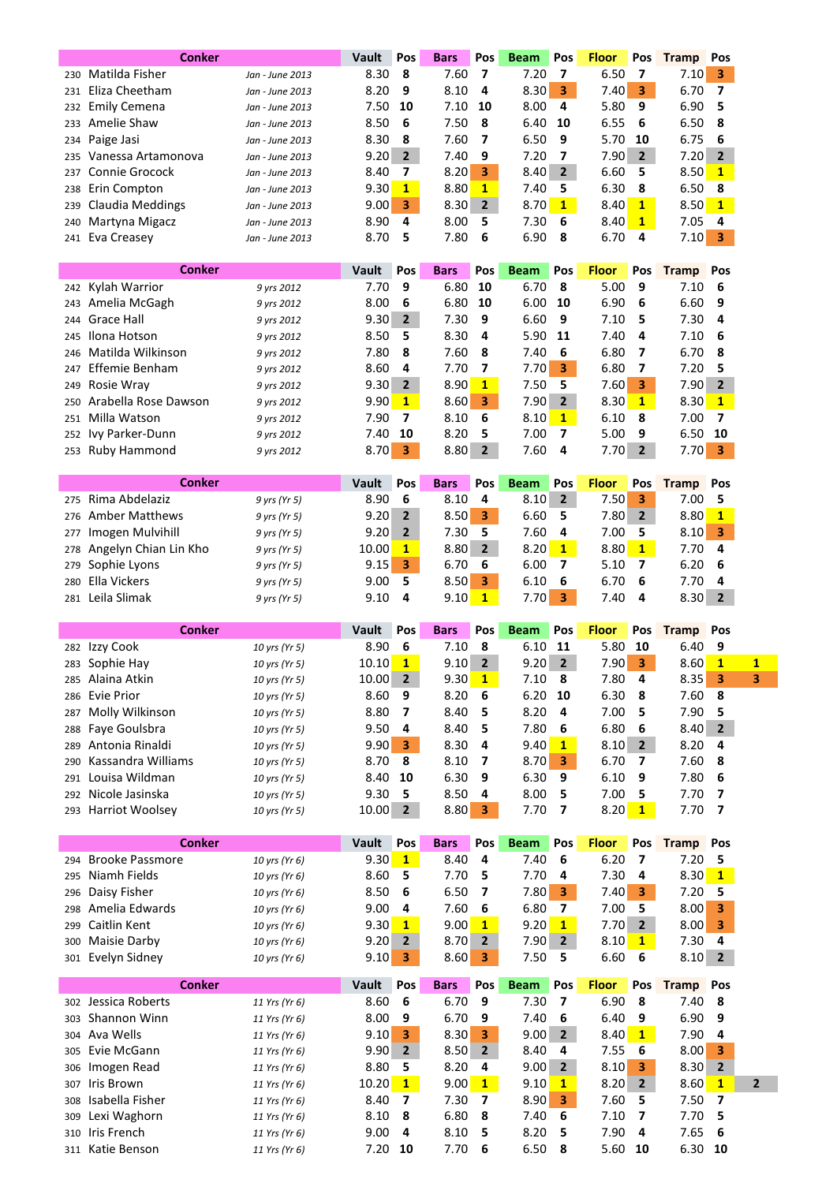|     | <b>Conker</b>                    |                 | Vault        | Pos            | <b>Bars</b> | Pos            | <b>Beam</b> | Pos            | <b>Floor</b> | Pos                     | <b>Tramp</b> | Pos            |                         |
|-----|----------------------------------|-----------------|--------------|----------------|-------------|----------------|-------------|----------------|--------------|-------------------------|--------------|----------------|-------------------------|
| 230 | Matilda Fisher                   | Jan - June 2013 | 8.30         | 8              | 7.60        | 7              | 7.20        | 7              | 6.50         | 7                       | 7.10         | 3              |                         |
|     | 231 Eliza Cheetham               | Jan - June 2013 | 8.20         | 9              | 8.10        | 4              | 8.30        | 3              | 7.40         | 3                       | 6.70         | 7              |                         |
| 232 | Emily Cemena                     | Jan - June 2013 | 7.50         | 10             | 7.10        | 10             | 8.00        | 4              | 5.80         | 9                       | 6.90         | 5              |                         |
| 233 | Amelie Shaw                      | Jan - June 2013 | 8.50         | 6              | 7.50        | 8              | 6.40        | 10             | 6.55         | 6                       | 6.50         | 8              |                         |
| 234 | Paige Jasi                       | Jan - June 2013 | 8.30         | 8              | 7.60        | 7              | 6.50        | 9              | 5.70         | 10                      | 6.75         | 6              |                         |
| 235 | Vanessa Artamonova               | Jan - June 2013 | 9.20         | $\overline{2}$ | 7.40        | 9              | 7.20        | 7              | 7.90         | $\overline{2}$          | 7.20         | $\overline{2}$ |                         |
| 237 | <b>Connie Grocock</b>            |                 | 8.40         | 7              | 8.20        | 3              | 8.40        | 2 <sup>1</sup> | 6.60         | 5                       | 8.50         | $\mathbf{1}$   |                         |
|     | Erin Compton                     | Jan - June 2013 | 9.30         | $\mathbf{1}$   | 8.80        | $\mathbf{1}$   | 7.40        | 5              | 6.30         | 8                       | 6.50         | 8              |                         |
| 238 |                                  | Jan - June 2013 |              | 3              | 8.30        | $\overline{2}$ |             | $\mathbf{1}$   | 8.40         | $\mathbf{1}$            | 8.50         | $\mathbf{1}$   |                         |
| 239 | <b>Claudia Meddings</b>          | Jan - June 2013 | 9.00         | 4              |             |                | 8.70        |                |              |                         |              |                |                         |
| 240 | Martyna Migacz                   | Jan - June 2013 | 8.90         |                | 8.00        | 5              | 7.30        | 6              | 8.40         | $\mathbf{1}$            | 7.05         | 4              |                         |
|     | 241 Eva Creasey                  | Jan - June 2013 | 8.70         | 5              | 7.80        | 6              | 6.90        | 8              | 6.70         | 4                       | 7.10         | 3              |                         |
|     |                                  |                 |              |                |             |                |             |                |              |                         |              |                |                         |
|     | <b>Conker</b>                    |                 | Vault        | Pos            | <b>Bars</b> | Pos            | <b>Beam</b> | Pos            | <b>Floor</b> | Pos                     | <b>Tramp</b> | Pos            |                         |
| 242 | Kylah Warrior                    | 9 yrs 2012      | 7.70         | 9              | 6.80        | 10             | 6.70        | 8              | 5.00         | 9                       | 7.10         | 6              |                         |
| 243 | Amelia McGagh                    | 9 yrs 2012      | 8.00         | 6              | 6.80        | 10             | 6.00        | 10             | 6.90         | 6                       | 6.60         | 9              |                         |
| 244 | <b>Grace Hall</b>                | 9 yrs 2012      | 9.30         | $\overline{2}$ | 7.30        | 9              | 6.60        | 9              | 7.10         | 5                       | 7.30         | 4              |                         |
| 245 | Ilona Hotson                     | 9 yrs 2012      | 8.50         | 5              | 8.30        | 4              | 5.90        | 11             | 7.40         | 4                       | 7.10         | 6              |                         |
| 246 | Matilda Wilkinson                | 9 yrs 2012      | 7.80         | 8              | 7.60        | 8              | 7.40        | 6              | 6.80         | 7                       | 6.70         | 8              |                         |
| 247 | Effemie Benham                   | 9 yrs 2012      | 8.60         | 4              | 7.70        | 7              | 7.70        | 3              | 6.80         | 7                       | 7.20         | 5              |                         |
| 249 | Rosie Wray                       | 9 yrs 2012      | 9.30         | $\overline{2}$ | 8.90        | $\mathbf{1}$   | 7.50        | 5              | 7.60         | 3                       | 7.90         | 2              |                         |
| 250 | Arabella Rose Dawson             | 9 yrs 2012      | 9.90         | $\mathbf{1}$   | 8.60        | 3              | 7.90        | $\overline{2}$ | 8.30         | $\mathbf{1}$            | 8.30         | $\mathbf{1}$   |                         |
| 251 | Milla Watson                     | 9 yrs 2012      | 7.90         | 7              | 8.10        | 6              | 8.10        | $\mathbf{1}$   | 6.10         | 8                       | 7.00         | 7              |                         |
| 252 | Ivy Parker-Dunn                  | 9 yrs 2012      | 7.40         | 10             | 8.20        | 5              | 7.00        | 7              | 5.00         | 9                       | 6.50         | 10             |                         |
| 253 | <b>Ruby Hammond</b>              | 9 yrs 2012      | 8.70         | 3              | 8.80        | 2              | 7.60        | 4              | 7.70         | $\overline{2}$          | 7.70         | 3              |                         |
|     |                                  |                 |              |                |             |                |             |                |              |                         |              |                |                         |
|     | Conker                           |                 | Vault        | Pos            | <b>Bars</b> | Pos            | <b>Beam</b> | Pos            | <b>Floor</b> | Pos                     | <b>Tramp</b> | Pos            |                         |
| 275 | Rima Abdelaziz                   | 9 yrs (Yr 5)    | 8.90         | 6              | 8.10        | 4              | 8.10        | $\overline{2}$ | 7.50         | 3                       | 7.00         | 5              |                         |
| 276 | <b>Amber Matthews</b>            | 9 yrs (Yr 5)    | 9.20         | $\overline{2}$ | 8.50        | 3              | 6.60        | 5              | 7.80         | $\overline{2}$          | 8.80         | $\mathbf{1}$   |                         |
| 277 | Imogen Mulvihill                 | 9 yrs (Yr 5)    | 9.20         | $\overline{2}$ | 7.30        | 5              | 7.60        | 4              | 7.00         | 5                       | 8.10         | 3              |                         |
| 278 | Angelyn Chian Lin Kho            | 9 yrs (Yr 5)    | 10.00        | $\mathbf{1}$   | 8.80        | $\overline{2}$ | 8.20        | $\mathbf{1}$   | 8.80         | $\mathbf{1}$            | 7.70         | 4              |                         |
| 279 | Sophie Lyons                     | 9 yrs (Yr 5)    | 9.15         | 3              | 6.70        | 6              | 6.00        | 7              | 5.10         | 7                       | 6.20         | 6              |                         |
| 280 | Ella Vickers                     | 9 yrs (Yr 5)    | 9.00         | 5              | 8.50        | 3              | 6.10        | 6              | 6.70         | 6                       | 7.70         | 4              |                         |
| 281 | Leila Slimak                     | 9 yrs (Yr 5)    | 9.10         | 4              | 9.10        | $\mathbf{1}$   | 7.70        | 3              | 7.40         | 4                       | 8.30         | $\mathbf{2}$   |                         |
|     |                                  |                 |              |                |             |                |             |                |              |                         |              |                |                         |
|     |                                  |                 |              |                |             |                |             |                |              |                         |              |                |                         |
|     | Conker                           |                 | <b>Vault</b> | Pos            | <b>Bars</b> | Pos            | <b>Beam</b> | Pos            | <b>Floor</b> | Pos                     | <b>Tramp</b> | Pos            |                         |
|     | 282 Izzy Cook                    | 10 yrs (Yr 5)   | 8.90         | 6              | 7.10        | 8              | 6.10        | 11             | 5.80         | 10                      | 6.40         | 9              |                         |
|     | 283 Sophie Hay                   | 10 yrs (Yr 5)   | 10.10        | $\mathbf{1}$   | 9.10        | 2              | 9.20        | $\mathbf{2}$   | 7.90         | 3                       | 8.60         | $\mathbf{1}$   |                         |
| 285 | Alaina Atkin                     | 10 yrs (Yr 5)   | 10.00        | 2              | 9.30        | <b>1</b>       | 7.10        | 8              | 7.80         | 4                       | 8.35         | З              | 1                       |
| 286 | <b>Evie Prior</b>                | 10 yrs (Yr 5)   | 8.60         | 9              | 8.20        | 6              | 6.20        | 10             | 6.30         | 8                       | 7.60         | 8              |                         |
| 287 |                                  | 10 yrs (Yr 5)   |              | 7              | 8.40        | 5              | 8.20        | 4              | 7.00         | 5                       | 7.90         | 5              |                         |
| 288 | Molly Wilkinson                  | 10 yrs (Yr 5)   | 8.80         | 4              | 8.40        | 5              |             | 6              |              | 6                       |              | $\overline{2}$ |                         |
|     | Faye Goulsbra<br>Antonia Rinaldi |                 | 9.50         | 3              |             | 4              | 7.80        | $\mathbf{1}$   | 6.80         | $\overline{2}$          | 8.40         | 4              |                         |
| 289 |                                  | 10 yrs (Yr 5)   | 9.90         |                | 8.30        | 7              | 9.40        |                | 8.10         | 7                       | 8.20         |                |                         |
| 290 | Kassandra Williams               | 10 yrs (Yr 5)   | 8.70         | 8              | 8.10        |                | 8.70        | 3              | 6.70         |                         | 7.60         | 8              |                         |
|     | 291 Louisa Wildman               | 10 yrs (Yr 5)   | 8.40         | 10             | 6.30        | 9              | 6.30        | 9              | 6.10         | 9                       | 7.80         | 6              |                         |
| 292 | Nicole Jasinska                  | 10 yrs (Yr 5)   | 9.30         | 5              | 8.50        | 4              | 8.00        | 5              | 7.00         | 5                       | 7.70         | 7              |                         |
| 293 | <b>Harriot Woolsey</b>           | 10 yrs (Yr 5)   | 10.00        | $\overline{2}$ | 8.80        | 3              | 7.70        | 7              | 8.20         | $\mathbf{1}$            | 7.70         | 7              |                         |
|     | <b>Conker</b>                    |                 | Vault        | Pos            |             | Pos            |             | Pos            | <b>Floor</b> |                         |              | Pos            |                         |
|     |                                  |                 |              |                | <b>Bars</b> |                | <b>Beam</b> |                |              | Pos                     | <b>Tramp</b> |                |                         |
| 294 | <b>Brooke Passmore</b>           | 10 yrs (Yr 6)   | 9.30         | $\mathbf{1}$   | 8.40        | 4              | 7.40        | 6              | 6.20         | $\overline{\mathbf{z}}$ | 7.20         | 5              |                         |
| 295 | Niamh Fields                     | 10 yrs (Yr 6)   | 8.60         | 5              | 7.70        | 5              | 7.70        | 4              | 7.30         | 4                       | 8.30         | $\mathbf{1}$   |                         |
| 296 | Daisy Fisher                     | 10 yrs (Yr 6)   | 8.50         | 6              | 6.50        | 7              | 7.80        | 3.             | 7.40         | 3                       | 7.20         | 5              |                         |
| 298 | Amelia Edwards                   | 10 yrs (Yr 6)   | 9.00         | 4              | 7.60        | 6              | 6.80        | 7              | 7.00         | 5                       | 8.00         | 3              |                         |
| 299 | Caitlin Kent                     | 10 yrs (Yr 6)   | 9.30         | $\mathbf{1}$   | 9.00        | $\mathbf{1}$   | 9.20        | $\mathbf{1}$   | 7.70         | $\overline{2}$          | 8.00         | 3              |                         |
| 300 | Maisie Darby                     | 10 yrs (Yr 6)   | 9.20         | $\overline{2}$ | 8.70        | 2              | 7.90        | $\overline{2}$ | 8.10         | $\mathbf{1}$            | 7.30         | 4              |                         |
|     | 301 Evelyn Sidney                | 10 yrs (Yr 6)   | 9.10         | 3              | 8.60        | 3              | 7.50        | 5              | 6.60         | 6                       | 8.10         | $\mathbf{2}$   |                         |
|     | <b>Conker</b>                    |                 | Vault        | Pos            | <b>Bars</b> | Pos            | <b>Beam</b> | Pos            | <b>Floor</b> | Pos                     | <b>Tramp</b> | Pos            |                         |
|     | 302 Jessica Roberts              | 11 Yrs (Yr 6)   | 8.60         | 6              | 6.70        | 9              | 7.30        | 7              | 6.90         | 8                       | 7.40         | 8              |                         |
| 303 | Shannon Winn                     | 11 Yrs (Yr 6)   | 8.00         | 9              | 6.70        | 9              | 7.40        | 6              | 6.40         | 9                       | 6.90         | 9              |                         |
| 304 | Ava Wells                        | 11 Yrs (Yr 6)   | 9.10         | 3              | 8.30        | 3              | 9.00        | $\overline{2}$ | 8.40         | 1                       | 7.90         | 4              |                         |
| 305 | Evie McGann                      | 11 Yrs (Yr 6)   | 9.90         | $\overline{2}$ | 8.50        | $\mathbf{2}$   | 8.40        | 4              | 7.55         | 6                       | 8.00         | 3              |                         |
| 306 | Imogen Read                      | 11 Yrs (Yr 6)   | 8.80         | 5              | 8.20        | 4              | 9.00        | $\overline{2}$ | 8.10         | 3                       | 8.30         | 2              |                         |
| 307 | Iris Brown                       | 11 Yrs (Yr 6)   | 10.20        | $\mathbf{1}$   | 9.00        | $\mathbf{1}$   | 9.10        | $\mathbf{1}$   | 8.20         | $\mathbf{2}$            | 8.60         | $\mathbf{1}$   |                         |
| 308 | Isabella Fisher                  | 11 Yrs (Yr 6)   | 8.40         | 7              | 7.30        | 7              | 8.90        | 3              | 7.60         | 5                       | 7.50         | 7              |                         |
| 309 | Lexi Waghorn                     | 11 Yrs (Yr 6)   | 8.10         | 8              | 6.80        | 8              | 7.40        | 6              | 7.10         | 7                       | 7.70         | 5              |                         |
| 310 | Iris French                      | 11 Yrs (Yr 6)   | 9.00         | 4              | 8.10        | 5              | 8.20        | 5              | 7.90         | 4                       | 7.65         | 6              | $\overline{\mathbf{c}}$ |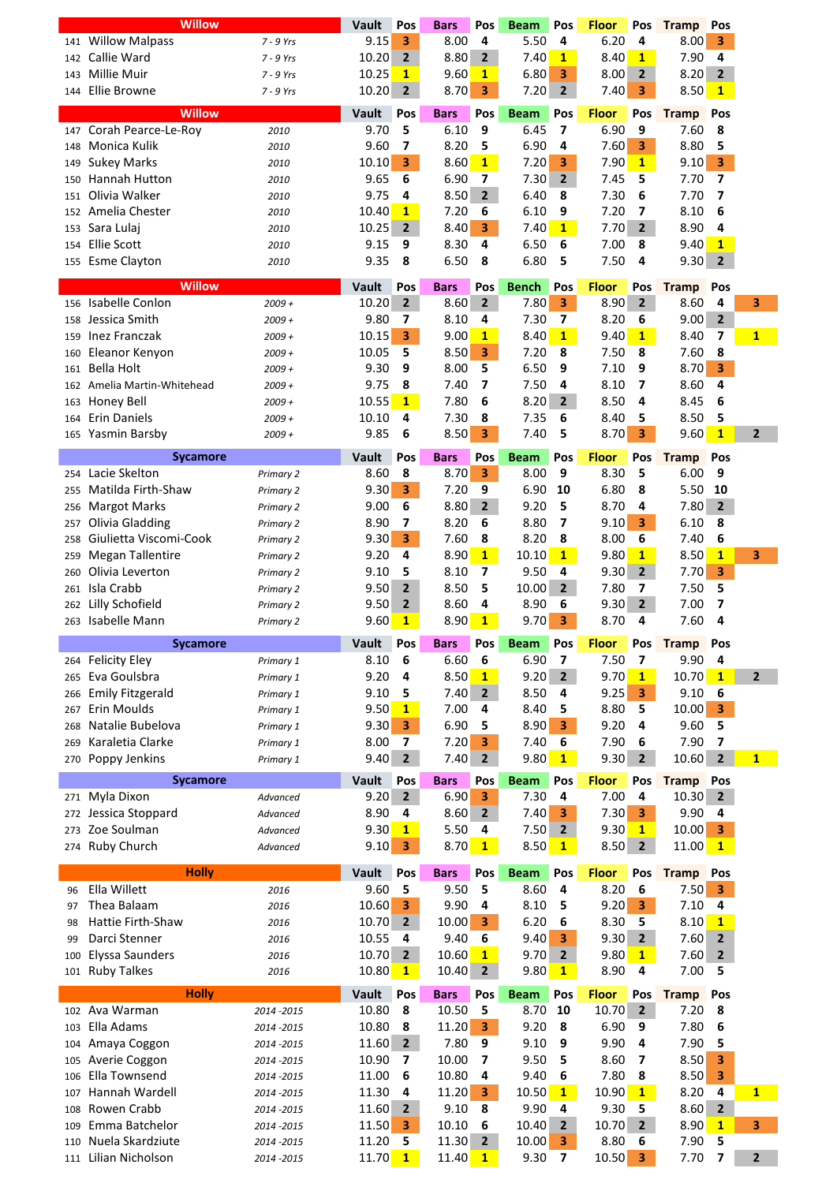|     | <b>Willow</b>           |             | Vault        | Pos            | Bars        | Pos                     | <b>Beam</b>  | Pos                     | <b>Floor</b> | Pos                     | <b>Tramp</b> | Pos                     |                |
|-----|-------------------------|-------------|--------------|----------------|-------------|-------------------------|--------------|-------------------------|--------------|-------------------------|--------------|-------------------------|----------------|
| 141 | <b>Willow Malpass</b>   | $7 - 9$ Yrs | 9.15         | 3              | 8.00        | 4                       | 5.50         | 4                       | 6.20         | 4                       | 8.00         | 3                       |                |
| 142 | Callie Ward             | $7 - 9$ Yrs | 10.20        | $\mathbf{2}$   | 8.80        | $\overline{2}$          | 7.40         | $\mathbf{1}$            | 8.40         | $\mathbf{1}$            | 7.90         | 4                       |                |
| 143 | <b>Millie Muir</b>      | $7 - 9$ Yrs | 10.25        | $\mathbf{1}$   | 9.60        | $\mathbf{1}$            | 6.80         | 3                       | 8.00         | $\overline{2}$          | 8.20         | $\overline{2}$          |                |
| 144 | <b>Ellie Browne</b>     | 7 - 9 Yrs   | 10.20        | $\overline{2}$ | 8.70        | 3                       | 7.20         | $\mathbf{2}$            | 7.40         | 3                       | 8.50         | $\mathbf{1}$            |                |
|     |                         |             |              |                |             |                         |              |                         |              |                         |              |                         |                |
|     | <b>Willow</b>           |             | Vault        | Pos            | <b>Bars</b> | Pos                     | <b>Beam</b>  | Pos                     | <b>Floor</b> | Pos                     | <b>Tramp</b> | Pos                     |                |
| 147 | Corah Pearce-Le-Roy     | 2010        | 9.70         | 5              | 6.10        | 9                       | 6.45         | 7                       | 6.90         | 9                       | 7.60         | 8                       |                |
| 148 | Monica Kulik            | 2010        | 9.60         | 7              | 8.20        | 5                       | 6.90         | 4                       | 7.60         | 3                       | 8.80         | 5                       |                |
| 149 | <b>Sukey Marks</b>      | 2010        | 10.10        | 3              | 8.60        | $\mathbf{1}$            | 7.20         | 3                       | 7.90         | $\mathbf{1}$            | 9.10         | $\overline{\mathbf{3}}$ |                |
| 150 | Hannah Hutton           | 2010        | 9.65         | 6              | 6.90        | 7                       | 7.30         | $\overline{2}$          | 7.45         | 5                       | 7.70         | 7                       |                |
| 151 | Olivia Walker           | 2010        | 9.75         | 4              | 8.50        | $\overline{2}$          | 6.40         | 8                       | 7.30         | 6                       | 7.70         | $\overline{\mathbf{z}}$ |                |
| 152 | Amelia Chester          | 2010        | 10.40        | $\mathbf{1}$   | 7.20        | 6                       | 6.10         | 9                       | 7.20         | $\overline{\mathbf{z}}$ | 8.10         | 6                       |                |
| 153 | Sara Lulaj              | 2010        | 10.25        | $\overline{2}$ | 8.40        | 3                       | 7.40         | $\mathbf{1}$            | 7.70         | $\overline{2}$          | 8.90         | 4                       |                |
|     |                         |             |              |                |             | 4                       |              |                         |              |                         |              |                         |                |
| 154 | <b>Ellie Scott</b>      | 2010        | 9.15         | 9              | 8.30        |                         | 6.50         | 6                       | 7.00         | 8                       | 9.40         | $\mathbf{1}$            |                |
| 155 | <b>Esme Clayton</b>     | 2010        | 9.35         | 8              | 6.50        | 8                       | 6.80         | 5                       | 7.50         | 4                       | 9.30         | $\overline{2}$          |                |
|     | Willow                  |             | Vault        | Pos            | Bars        | Pos                     | <b>Bench</b> | Pos                     | <b>Floor</b> | Pos                     | <b>Tramp</b> | Pos                     |                |
| 156 | Isabelle Conlon         | $2009 +$    | 10.20        | $\overline{2}$ | 8.60        | $\overline{2}$          | 7.80         | 3                       | 8.90         | $\overline{2}$          | 8.60         | 4                       | 3              |
|     |                         |             |              |                |             |                         |              |                         |              |                         |              |                         |                |
| 158 | Jessica Smith           | $2009 +$    | 9.80         | 7              | 8.10        | 4                       | 7.30         | 7                       | 8.20         | 6                       | 9.00         | $\overline{2}$          |                |
| 159 | Inez Franczak           | $2009 +$    | 10.15        | 3              | 9.00        | $\mathbf{1}$            | 8.40         | $\mathbf{1}$            | 9.40         | 1                       | 8.40         | 7                       | $\mathbf{1}$   |
| 160 | Eleanor Kenyon          | $2009 +$    | 10.05        | 5              | 8.50        | 3                       | 7.20         | 8                       | 7.50         | 8                       | 7.60         | 8                       |                |
| 161 | <b>Bella Holt</b>       | $2009 +$    | 9.30         | 9              | 8.00        | 5                       | 6.50         | 9                       | 7.10         | 9                       | 8.70         | $\overline{\mathbf{3}}$ |                |
| 162 | Amelia Martin-Whitehead | $2009 +$    | 9.75         | 8              | 7.40        | 7                       | 7.50         | 4                       | 8.10         | 7                       | 8.60         | 4                       |                |
| 163 | Honey Bell              | $2009 +$    | 10.55        | $\mathbf{1}$   | 7.80        | 6                       | 8.20         | $\mathbf{2}$            | 8.50         | 4                       | 8.45         | 6                       |                |
| 164 | <b>Erin Daniels</b>     | $2009 +$    | 10.10        | 4              | 7.30        | 8                       | 7.35         | 6                       | 8.40         | 5                       | 8.50         | 5                       |                |
| 165 | Yasmin Barsby           | $2009 +$    | 9.85         | 6              | 8.50        | 3                       | 7.40         | 5                       | 8.70         | 3                       | 9.60         | $\mathbf{1}$            | $\mathbf{2}$   |
|     |                         |             |              |                |             |                         |              |                         |              |                         |              |                         |                |
|     | <b>Sycamore</b>         |             | Vault        | Pos            | <b>Bars</b> | Pos                     | <b>Beam</b>  | Pos                     | <b>Floor</b> | Pos                     | <b>Tramp</b> | Pos                     |                |
| 254 | Lacie Skelton           | Primary 2   | 8.60         | 8              | 8.70        | 3                       | 8.00         | 9                       | 8.30         | 5                       | 6.00         | 9                       |                |
| 255 | Matilda Firth-Shaw      | Primary 2   | 9.30         | 3              | 7.20        | 9                       | 6.90         | 10                      | 6.80         | 8                       | 5.50         | 10                      |                |
| 256 | <b>Margot Marks</b>     | Primary 2   | 9.00         | 6              | 8.80        | $\overline{2}$          | 9.20         | 5                       | 8.70         | 4                       | 7.80         | $\overline{2}$          |                |
| 257 | Olivia Gladding         | Primary 2   | 8.90         | 7              | 8.20        | 6                       | 8.80         | $\overline{\mathbf{z}}$ | 9.10         | 3                       | 6.10         | 8                       |                |
| 258 | Giulietta Viscomi-Cook  | Primary 2   | 9.30         | 3              | 7.60        | 8                       | 8.20         | 8                       | 8.00         | 6                       | 7.40         | 6                       |                |
| 259 | Megan Tallentire        | Primary 2   | 9.20         | 4              | 8.90        | $\mathbf{1}$            | 10.10        | $\mathbf{1}$            | 9.80         | $\mathbf{1}$            | 8.50         | $\mathbf{1}$            | 3              |
| 260 | Olivia Leverton         |             | 9.10         | 5              | 8.10        | 7                       | 9.50         | 4                       | 9.30         | $\mathbf{2}$            | 7.70         | 3                       |                |
|     |                         | Primary 2   |              |                |             |                         |              |                         |              |                         |              |                         |                |
| 261 | Isla Crabb              | Primary 2   | 9.50         | $\overline{2}$ | 8.50        | 5                       | 10.00        | $\overline{2}$          | 7.80         | 7                       | 7.50         | 5                       |                |
| 262 | Lilly Schofield         | Primary 2   | 9.50         | $\overline{2}$ | 8.60        | 4                       | 8.90         | 6                       | 9.30         | $\overline{2}$          | 7.00         | 7                       |                |
| 263 | Isabelle Mann           | Primary 2   | 9.60         | $\mathbf{1}$   | 8.90        | $\mathbf{1}$            | 9.70         | 3                       | 8.70         | 4                       | 7.60         | 4                       |                |
|     |                         |             |              |                |             |                         |              |                         |              |                         |              |                         |                |
|     | <b>Sycamore</b>         |             |              |                | <b>Bars</b> |                         |              | Pos                     | <b>Floor</b> |                         |              | Pos                     |                |
|     |                         |             | Vault        | Pos            |             | Pos                     | <b>Beam</b>  |                         |              | Pos                     | <b>Tramp</b> |                         |                |
| 264 | <b>Felicity Eley</b>    | Primary 1   | 8.10         | 6              | 6.60        | 6                       | 6.90         | 7                       | 7.50         | 7                       | 9.90         | 4                       |                |
| 265 | Eva Goulsbra            | Primary 1   | 9.20         | 4              | 8.50        | $\mathbf{1}$            | 9.20         | $\overline{2}$          | 9.70         | $\mathbf{1}$            | 10.70        | $\mathbf{1}$            | $\overline{2}$ |
| 266 | <b>Emily Fitzgerald</b> | Primary 1   | 9.10         | 5              | 7.40        | $\overline{2}$          | 8.50         | 4                       | 9.25         | 3                       | 9.10         | 6                       |                |
| 267 | Erin Moulds             | Primary 1   | 9.50         | $\mathbf{1}$   | 7.00        | 4                       | 8.40         | 5                       | 8.80         | 5                       | 10.00        | 3                       |                |
| 268 | Natalie Bubelova        | Primary 1   | 9.30         | 3              | 6.90        | 5                       | 8.90         | 3                       | 9.20         | 4                       | 9.60         | 5                       |                |
| 269 | Karaletia Clarke        | Primary 1   | 8.00         | 7              | 7.20        | 3                       | 7.40         | 6                       | 7.90         | 6                       | 7.90         | 7                       |                |
| 270 | Poppy Jenkins           | Primary 1   | 9.40         | $\overline{2}$ | 7.40        | $\overline{2}$          | 9.80         | $\mathbf{1}$            | 9.30         | $\overline{2}$          | 10.60        | $\overline{2}$          | $\mathbf{1}$   |
|     |                         |             | Vault        |                |             |                         |              |                         |              |                         |              |                         |                |
|     | <b>Sycamore</b>         |             |              | Pos            | <b>Bars</b> | Pos                     | <b>Beam</b>  | Pos                     | <b>Floor</b> | Pos                     | <b>Tramp</b> | Pos                     |                |
|     | 271 Myla Dixon          | Advanced    | 9.20         | $\overline{2}$ | 6.90        | 3                       | 7.30         | 4                       | 7.00         | 4                       | 10.30        | $\mathbf{2}$            |                |
| 272 | Jessica Stoppard        | Advanced    | 8.90         | 4              | 8.60        | $\mathbf{2}$            | 7.40         | 3                       | 7.30         | 3                       | 9.90         | 4                       |                |
| 273 | Zoe Soulman             | Advanced    | 9.30         | $\mathbf{1}$   | 5.50        | 4                       | 7.50         | $\mathbf{2}$            | 9.30         | $\mathbf{1}$            | 10.00        | 3                       |                |
| 274 | Ruby Church             | Advanced    | 9.10         | 3              | 8.70        | $\mathbf{1}$            | 8.50         | $\mathbf{1}$            | 8.50         | $\overline{2}$          | 11.00        | $\mathbf{1}$            |                |
|     |                         |             |              |                |             |                         |              |                         |              |                         |              |                         |                |
|     | <b>Holly</b>            |             | <b>Vault</b> | Pos            | <b>Bars</b> | Pos                     | <b>Beam</b>  | Pos                     | <b>Floor</b> | Pos                     | <b>Tramp</b> | Pos                     |                |
| 96  | Ella Willett            | 2016        | 9.60         | 5              | 9.50        | 5                       | 8.60         | 4                       | 8.20         | 6                       | 7.50         | 3                       |                |
| 97  | Thea Balaam             | 2016        | 10.60        | 3              | 9.90        | 4                       | 8.10         | 5                       | 9.20         | 3                       | 7.10         | 4                       |                |
| 98  | Hattie Firth-Shaw       | 2016        | 10.70        | $\mathbf{2}$   | 10.00       | 3                       | 6.20         | 6                       | 8.30         | 5                       | 8.10         | $\mathbf{1}$            |                |
| 99  | Darci Stenner           | 2016        | 10.55        | 4              | 9.40        | 6                       | 9.40         | 3                       | 9.30         | $\overline{2}$          | 7.60         | $\overline{2}$          |                |
| 100 | <b>Elyssa Saunders</b>  | 2016        | 10.70        | $\overline{2}$ | 10.60       | $\mathbf{1}$            | 9.70         | $\mathbf{2}$            | 9.80         | $\mathbf{1}$            | 7.60         | $\mathbf{2}$            |                |
| 101 | <b>Ruby Talkes</b>      | 2016        | 10.80        | $\mathbf{1}$   | 10.40       | $\overline{2}$          | 9.80         | $\mathbf{1}$            | 8.90         | 4                       | 7.00         | 5                       |                |
|     |                         |             |              |                |             |                         |              |                         |              |                         |              |                         |                |
|     | <b>Holly</b>            |             | Vault        | Pos            | <b>Bars</b> | Pos                     | <b>Beam</b>  | Pos                     | <b>Floor</b> | Pos                     | <b>Tramp</b> | Pos                     |                |
| 102 | Ava Warman              | 2014 - 2015 | 10.80        | 8              | 10.50       | 5                       | 8.70         | 10                      | 10.70        | $\overline{2}$          | 7.20         | 8                       |                |
| 103 | Ella Adams              | 2014 - 2015 | 10.80        | 8              | 11.20       | $\overline{\mathbf{3}}$ | 9.20         | 8                       | 6.90         | 9                       | 7.80         | 6                       |                |
| 104 | Amaya Coggon            | 2014 - 2015 | 11.60        | $\overline{2}$ | 7.80        | 9                       | 9.10         | 9                       | 9.90         | 4                       | 7.90         | 5                       |                |
| 105 | Averie Coggon           | 2014 - 2015 | 10.90        | 7              | 10.00       | 7                       | 9.50         | 5                       | 8.60         | 7                       | 8.50         | 3                       |                |
| 106 | Ella Townsend           | 2014 - 2015 | 11.00        | 6              | 10.80       | 4                       | 9.40         | 6                       | 7.80         | 8                       | 8.50         | 3                       |                |
| 107 | Hannah Wardell          | 2014 - 2015 | 11.30        | 4              | 11.20       | 3                       | 10.50        | 1                       | 10.90        | 1                       | 8.20         | 4                       | $\mathbf{1}$   |
| 108 | Rowen Crabb             | 2014 - 2015 | 11.60        | 2              | 9.10        | 8                       | 9.90         | 4                       | 9.30         | 5                       | 8.60         | $\mathbf{2}$            |                |
| 109 | Emma Batchelor          | 2014 - 2015 | 11.50        | 3              | 10.10       | 6                       | 10.40        | $\mathbf{2}$            | 10.70        | $\overline{2}$          | 8.90         | 1                       | 3              |
| 110 | Nuela Skardziute        | 2014 - 2015 | 11.20        | 5              | 11.30       | $\overline{2}$          | 10.00        | 3                       | 8.80         | 6                       | 7.90         | 5                       |                |